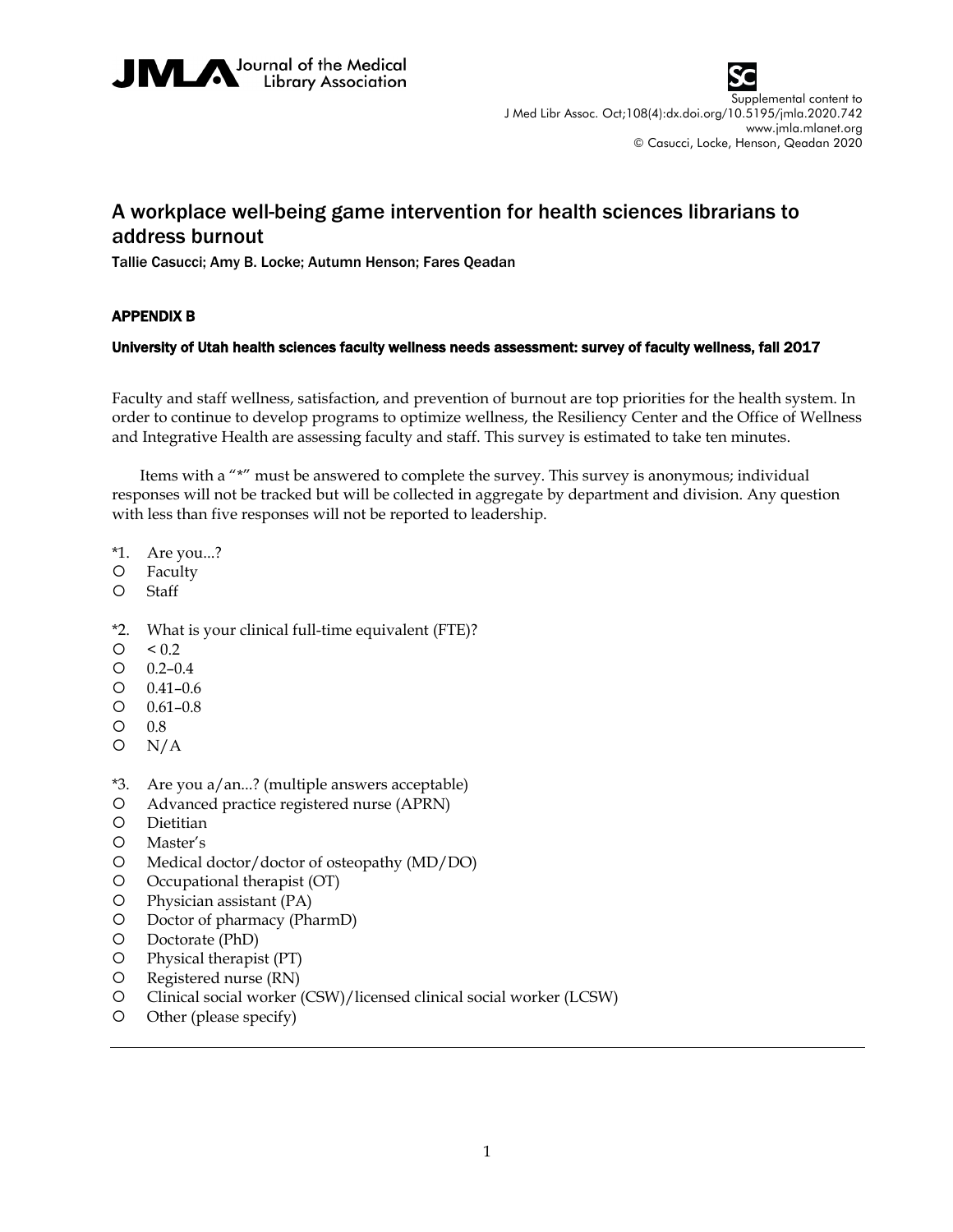



## A workplace well-being game intervention for health sciences librarians to address burnout

Tallie Casucci; Amy B. Locke; Autumn Henson; Fares Qeadan

## APPENDIX B

## University of Utah health sciences faculty wellness needs assessment: survey of faculty wellness, fall 2017

Faculty and staff wellness, satisfaction, and prevention of burnout are top priorities for the health system. In order to continue to develop programs to optimize wellness, the Resiliency Center and the Office of Wellness and Integrative Health are assessing faculty and staff. This survey is estimated to take ten minutes.

Items with a "\*" must be answered to complete the survey. This survey is anonymous; individual responses will not be tracked but will be collected in aggregate by department and division. Any question with less than five responses will not be reported to leadership.

- \*1. Are you...?
- Faculty
- Staff
- \*2. What is your clinical full-time equivalent (FTE)?
- $\circ$  < 0.2
- $O$  0.2–0.4
- $O$   $0.41 0.6$
- $O$   $0.61 0.8$
- 0.8
- $O N/A$
- \*3. Are you a/an...? (multiple answers acceptable)
- Advanced practice registered nurse (APRN)
- Dietitian
- Master's
- Medical doctor/doctor of osteopathy (MD/DO)
- O Occupational therapist (OT)
- Physician assistant (PA)
- Doctor of pharmacy (PharmD)
- Doctorate (PhD)
- Physical therapist (PT)
- Registered nurse (RN)
- Clinical social worker (CSW)/licensed clinical social worker (LCSW)
- Other (please specify)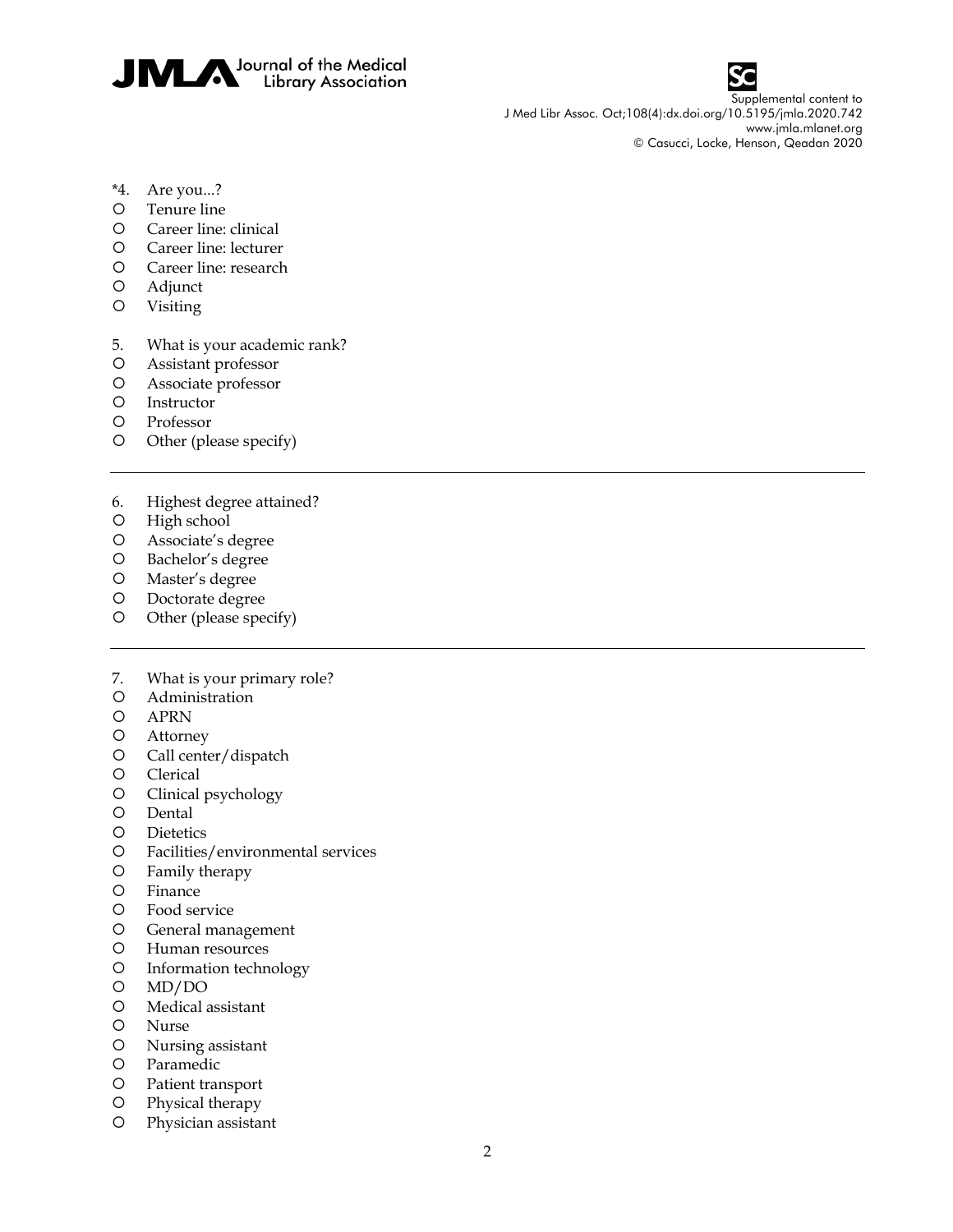



- \*4. Are you...?
- Tenure line
- Career line: clinical
- Career line: lecturer
- Career line: research
- Adjunct
- Visiting
- 5. What is your academic rank?
- Assistant professor
- Associate professor
- O Instructor
- Professor
- O Other (please specify)
- 6. Highest degree attained?
- O High school
- Associate's degree
- O Bachelor's degree
- Master's degree
- O Doctorate degree
- O Other (please specify)
- 7. What is your primary role?
- Administration
- APRN
- Attorney
- Call center/dispatch
- O Clerical
- Clinical psychology
- O Dental
- Dietetics
- Facilities/environmental services
- Family therapy
- Finance
- Food service
- General management
- Human resources
- Information technology
- MD/DO
- Medical assistant
- Nurse
- Nursing assistant
- Paramedic
- Patient transport
- Physical therapy
- Physician assistant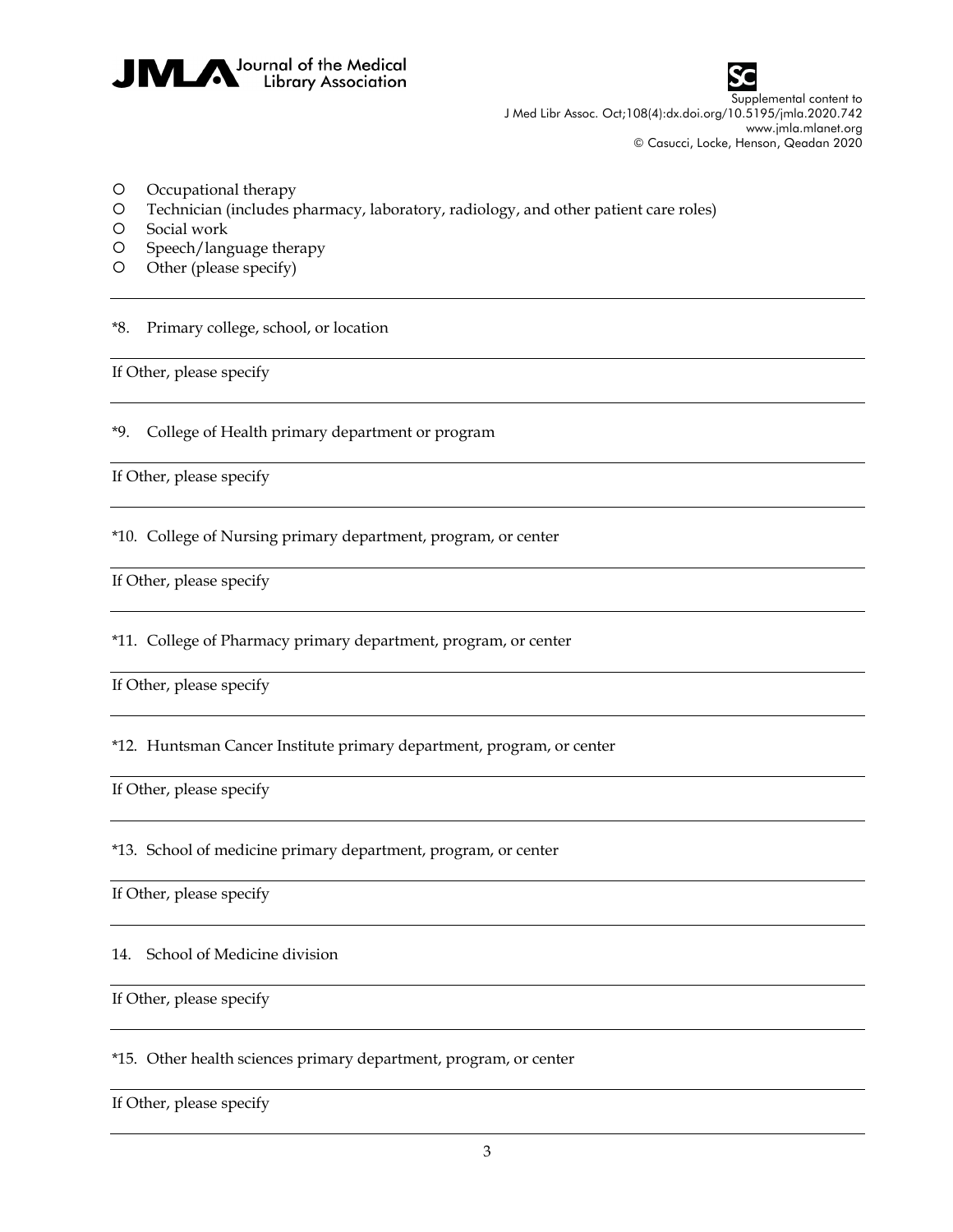



- Occupational therapy
- Technician (includes pharmacy, laboratory, radiology, and other patient care roles)
- O Social work
- O Speech/language therapy
- O Other (please specify)

\*8. Primary college, school, or location

If Other, please specify

\*9. College of Health primary department or program

If Other, please specify

\*10. College of Nursing primary department, program, or center

If Other, please specify

\*11. College of Pharmacy primary department, program, or center

If Other, please specify

\*12. Huntsman Cancer Institute primary department, program, or center

If Other, please specify

\*13. School of medicine primary department, program, or center

If Other, please specify

14. School of Medicine division

If Other, please specify

\*15. Other health sciences primary department, program, or center

If Other, please specify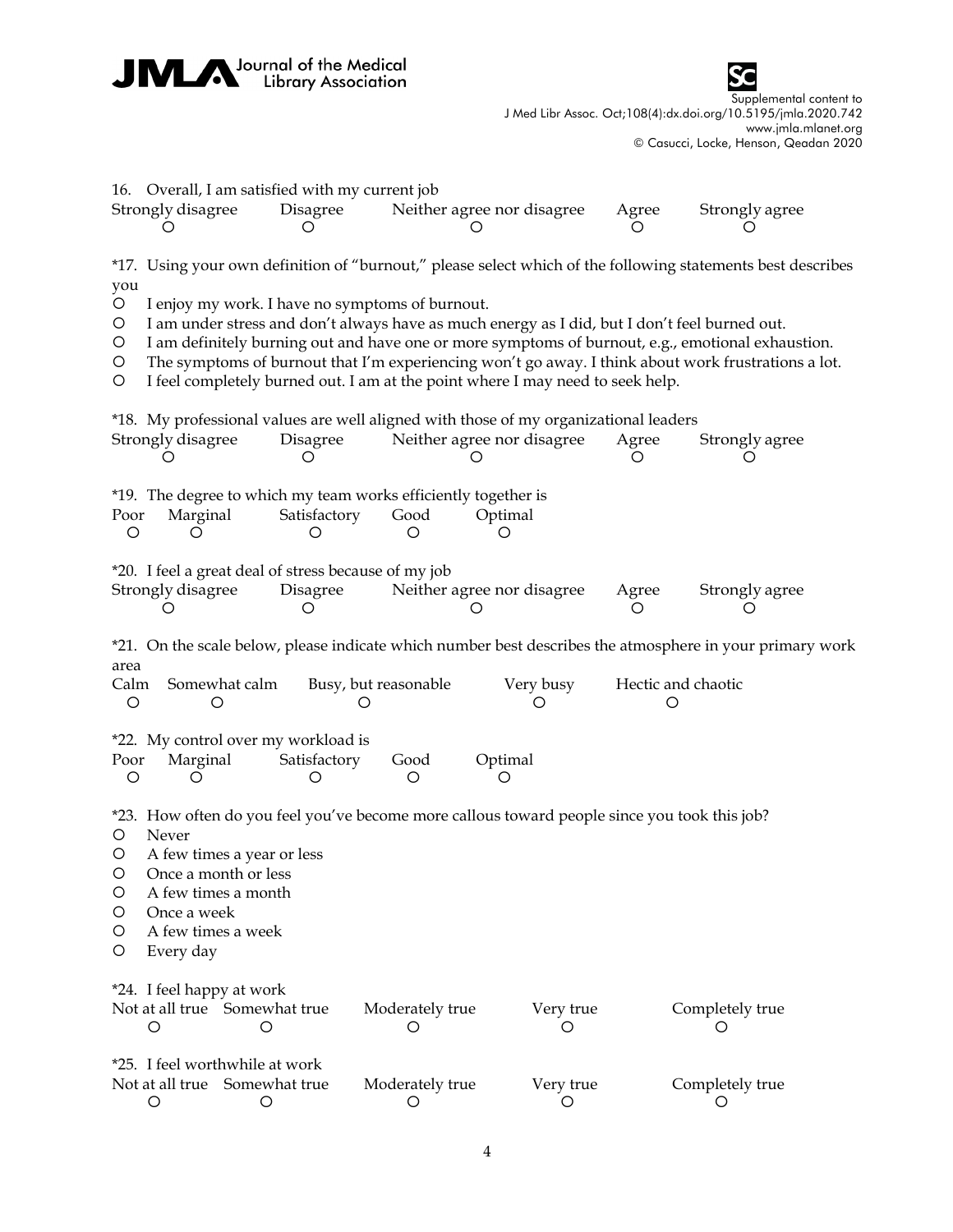



|                                                                                                          |                                                                                                                                                                                                                                                                                                                                                                                                                                                |               | 16. Overall, I am satisfied with my current job          |                                                                             |                                                                                                                    |                         |                      |  |
|----------------------------------------------------------------------------------------------------------|------------------------------------------------------------------------------------------------------------------------------------------------------------------------------------------------------------------------------------------------------------------------------------------------------------------------------------------------------------------------------------------------------------------------------------------------|---------------|----------------------------------------------------------|-----------------------------------------------------------------------------|--------------------------------------------------------------------------------------------------------------------|-------------------------|----------------------|--|
|                                                                                                          | Strongly disagree<br>Ő                                                                                                                                                                                                                                                                                                                                                                                                                         |               | Disagree<br>O                                            |                                                                             | Neither agree nor disagree                                                                                         | Agree                   | Strongly agree<br>O  |  |
| you                                                                                                      | *17. Using your own definition of "burnout," please select which of the following statements best describes                                                                                                                                                                                                                                                                                                                                    |               |                                                          |                                                                             |                                                                                                                    |                         |                      |  |
| $\circ$<br>$\circ$<br>$\circ$<br>$\circ$<br>O                                                            | I enjoy my work. I have no symptoms of burnout.<br>I am under stress and don't always have as much energy as I did, but I don't feel burned out.<br>I am definitely burning out and have one or more symptoms of burnout, e.g., emotional exhaustion.<br>The symptoms of burnout that I'm experiencing won't go away. I think about work frustrations a lot.<br>I feel completely burned out. I am at the point where I may need to seek help. |               |                                                          |                                                                             |                                                                                                                    |                         |                      |  |
|                                                                                                          | Strongly disagree                                                                                                                                                                                                                                                                                                                                                                                                                              |               | Disagree<br>O                                            |                                                                             | *18. My professional values are well aligned with those of my organizational leaders<br>Neither agree nor disagree | Agree<br>( )            | Strongly agree       |  |
| Poor<br>O                                                                                                | Marginal<br>O                                                                                                                                                                                                                                                                                                                                                                                                                                  |               | Satisfactory<br>O                                        | *19. The degree to which my team works efficiently together is<br>Good<br>O | Optimal<br>O                                                                                                       |                         |                      |  |
|                                                                                                          | Strongly disagree                                                                                                                                                                                                                                                                                                                                                                                                                              |               | Disagree<br>O                                            | *20. I feel a great deal of stress because of my job                        | Neither agree nor disagree                                                                                         | Agree<br>Ő              | Strongly agree       |  |
| *21. On the scale below, please indicate which number best describes the atmosphere in your primary work |                                                                                                                                                                                                                                                                                                                                                                                                                                                |               |                                                          |                                                                             |                                                                                                                    |                         |                      |  |
| area<br>Calm<br>O                                                                                        | O                                                                                                                                                                                                                                                                                                                                                                                                                                              | Somewhat calm | Ő                                                        | Busy, but reasonable                                                        | Very busy                                                                                                          | Hectic and chaotic<br>O |                      |  |
| Poor<br>O                                                                                                | Marginal<br>O                                                                                                                                                                                                                                                                                                                                                                                                                                  |               | *22. My control over my workload is<br>Satisfactory<br>Ő | Good<br>O                                                                   | Optimal<br>Ő                                                                                                       |                         |                      |  |
| O<br>$\circ$<br>O<br>O<br>O<br>O<br>O                                                                    | *23. How often do you feel you've become more callous toward people since you took this job?<br>Never<br>A few times a year or less<br>Once a month or less<br>A few times a month<br>Once a week<br>A few times a week<br>Every day                                                                                                                                                                                                           |               |                                                          |                                                                             |                                                                                                                    |                         |                      |  |
|                                                                                                          | *24. I feel happy at work<br>Not at all true Somewhat true<br>O                                                                                                                                                                                                                                                                                                                                                                                | ◯             |                                                          | Moderately true<br>O                                                        | Very true<br>O                                                                                                     |                         | Completely true      |  |
|                                                                                                          | *25. I feel worthwhile at work<br>Not at all true Somewhat true<br>O                                                                                                                                                                                                                                                                                                                                                                           | О             |                                                          | Moderately true<br>O                                                        | Very true<br>O                                                                                                     |                         | Completely true<br>Ő |  |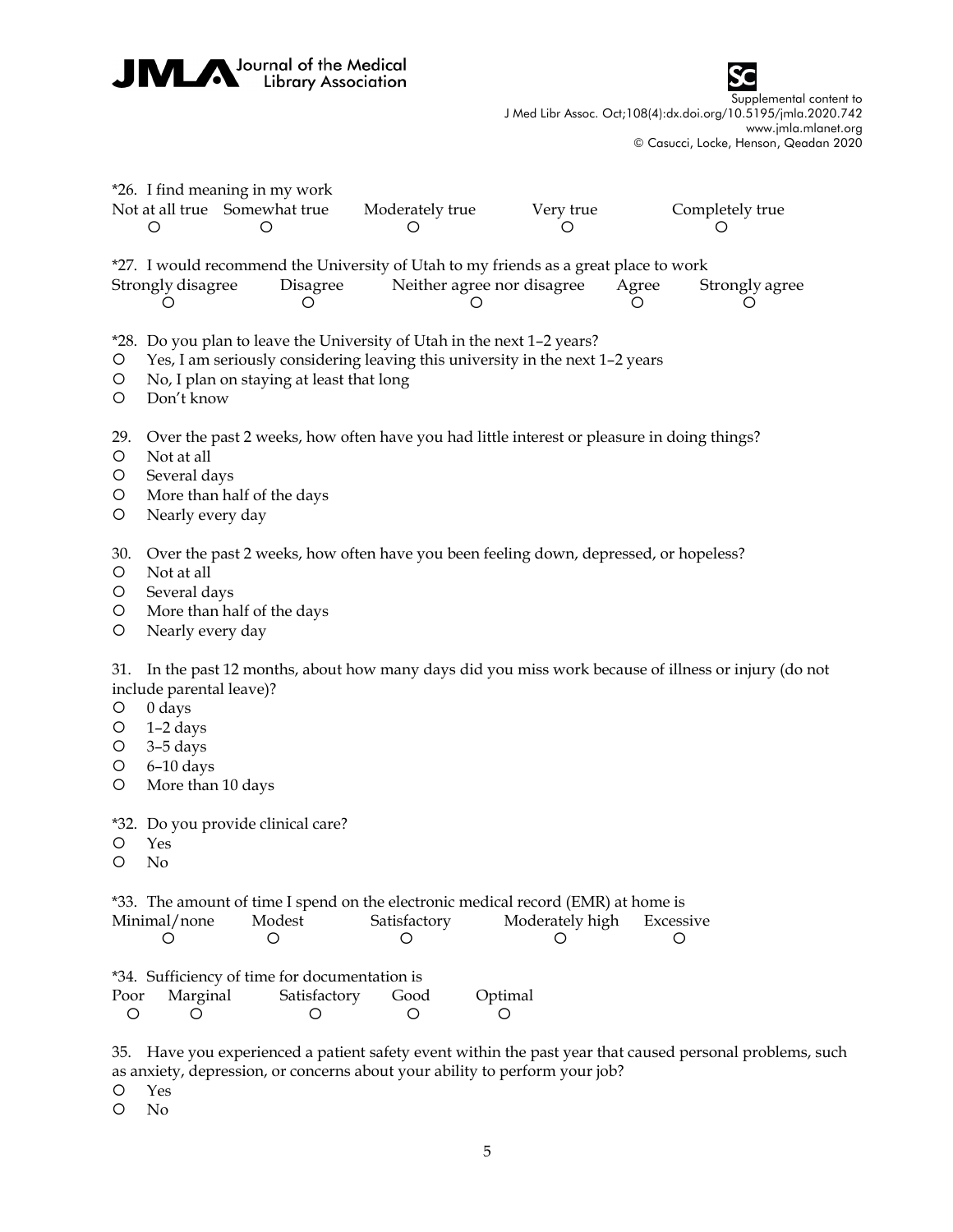JMM Journal of the Medical



Supplemental content to J Med Libr Assoc. Oct;108(4):dx.doi.org/10.5195/jmla.2020.742 www.jmla.mlanet.org © Casucci, Locke, Henson, Qeadan 2020

|                                    | *26. I find meaning in my work<br>Not at all true Somewhat true<br>Moderately true<br>Very true<br>Completely true<br>$\circ$<br>O<br>O<br>O<br>Ő                                                                   |
|------------------------------------|---------------------------------------------------------------------------------------------------------------------------------------------------------------------------------------------------------------------|
|                                    | *27. I would recommend the University of Utah to my friends as a great place to work<br>Strongly disagree<br>Disagree<br>Neither agree nor disagree<br>Agree<br>Strongly agree<br>O<br>O<br>O<br>Ő<br>Ő             |
| O<br>O<br>$\circ$                  | *28. Do you plan to leave the University of Utah in the next 1-2 years?<br>Yes, I am seriously considering leaving this university in the next 1-2 years<br>No, I plan on staying at least that long<br>Don't know  |
| 29.<br>$\circ$<br>O<br>O<br>O      | Over the past 2 weeks, how often have you had little interest or pleasure in doing things?<br>Not at all<br>Several days<br>More than half of the days<br>Nearly every day                                          |
| 30.<br>$\circ$<br>O<br>O<br>O      | Over the past 2 weeks, how often have you been feeling down, depressed, or hopeless?<br>Not at all<br>Several days<br>More than half of the days<br>Nearly every day                                                |
| 31.<br>O<br>O<br>O<br>$\circ$<br>O | In the past 12 months, about how many days did you miss work because of illness or injury (do not<br>include parental leave)?<br>$0 \, \text{days}$<br>$1-2$ days<br>$3-5$ days<br>$6-10$ days<br>More than 10 days |
| O<br>O                             | *32. Do you provide clinical care?<br>Yes<br>No                                                                                                                                                                     |
|                                    | *33. The amount of time I spend on the electronic medical record (EMR) at home is<br>Minimal/none<br>Modest<br>Satisfactory<br>Moderately high<br>Excessive<br>O<br>O<br>Ő<br>Ő<br>Ő                                |
| Poor<br>$\circ$                    | *34. Sufficiency of time for documentation is<br>Satisfactory<br>Marginal<br>Good<br>Optimal<br>O<br>O<br>O<br>O                                                                                                    |
| 35.<br>Ő<br>O                      | Have you experienced a patient safety event within the past year that caused personal problems, such<br>as anxiety, depression, or concerns about your ability to perform your job?<br>Yes<br>No                    |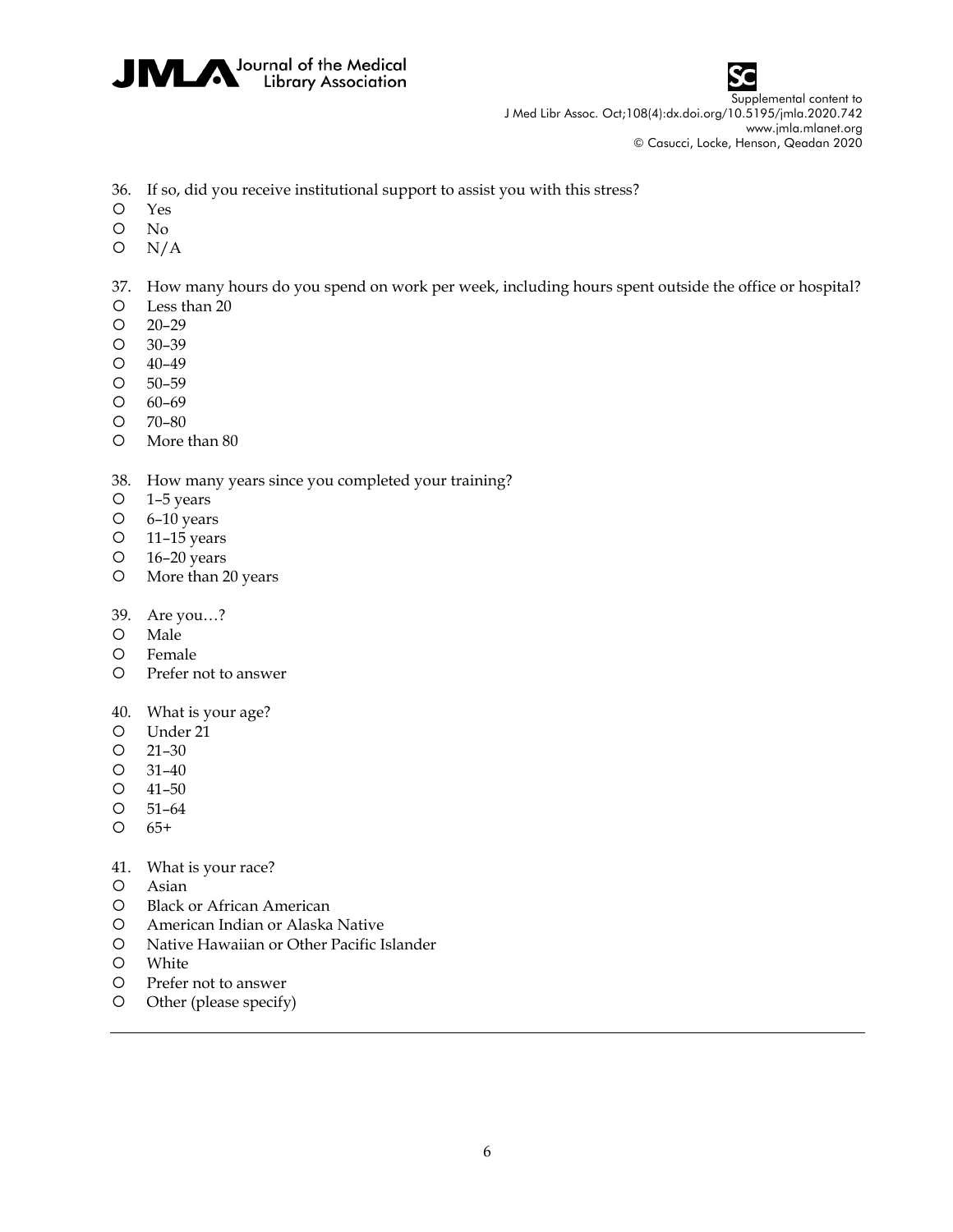



- 36. If so, did you receive institutional support to assist you with this stress?
- Yes
- No
- $O \quad N/A$

37. How many hours do you spend on work per week, including hours spent outside the office or hospital?

- Less than 20
- 20–29
- 30–39
- 40–49
- 50–59
- 60–69
- 70–80
- More than 80

## 38. How many years since you completed your training?

- 1–5 years
- 6–10 years
- 11–15 years
- 16–20 years
- More than 20 years
- 39. Are you…?
- O Male
- Female
- Prefer not to answer
- 40. What is your age?
- Under 21
- 21–30
- 31–40
- 41–50
- 51–64
- $O$   $65+$
- 41. What is your race?
- Asian
- Black or African American
- American Indian or Alaska Native
- Native Hawaiian or Other Pacific Islander
- White
- Prefer not to answer
- Other (please specify)